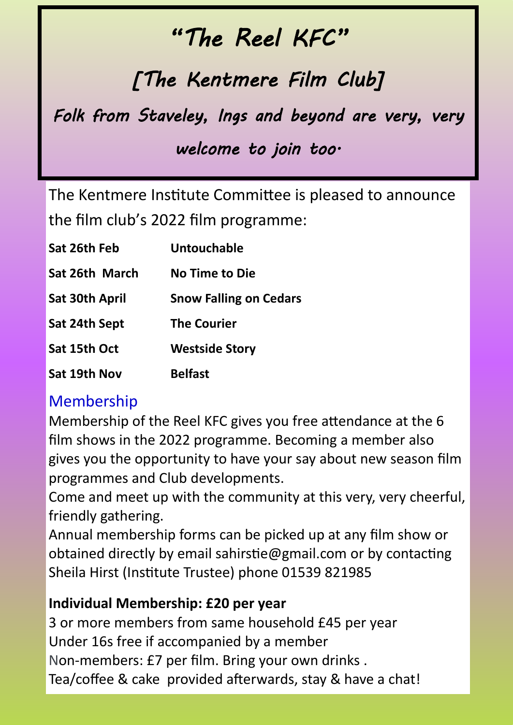## *"The Reel KFC"*

# *[The Kentmere Film Club]*

*Folk from Staveley, Ings and beyond are very, very* 

## *welcome to join too.*

The Kentmere Institute Committee is pleased to announce the film club's 2022 film programme:

| Sat 26th Feb          | <b>Untouchable</b>            |
|-----------------------|-------------------------------|
| Sat 26th March        | <b>No Time to Die</b>         |
| <b>Sat 30th April</b> | <b>Snow Falling on Cedars</b> |
| Sat 24th Sept         | <b>The Courier</b>            |
| Sat 15th Oct          | <b>Westside Story</b>         |
| Sat 19th Nov          | <b>Belfast</b>                |

### Membership

Membership of the Reel KFC gives you free attendance at the 6 film shows in the 2022 programme. Becoming a member also gives you the opportunity to have your say about new season film programmes and Club developments.

Come and meet up with the community at this very, very cheerful, friendly gathering.

Annual membership forms can be picked up at any film show or obtained directly by email sahirstie@gmail.com or by contacting Sheila Hirst (Institute Trustee) phone 01539 821985

#### **Individual Membership: £20 per year**

3 or more members from same household £45 per year Under 16s free if accompanied by a member Non-members: £7 per film. Bring your own drinks . Tea/coffee & cake provided afterwards, stay & have a chat!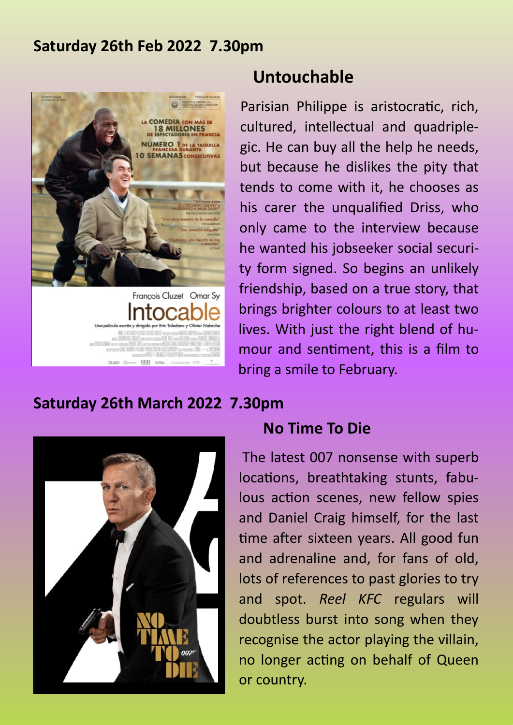#### **Saturday 26th Feb 2022 7.30pm**



#### **Untouchable**

Parisian Philippe is aristocratic, rich, cultured, intellectual and quadriplegic. He can buy all the help he needs, but because he dislikes the pity that tends to come with it, he chooses as his carer the unqualified Driss, who only came to the interview because he wanted his jobseeker social security form signed. So begins an unlikely friendship, based on a true story, that brings brighter colours to at least two lives. With just the right blend of humour and sentiment, this is a film to bring a smile to February.

#### **Saturday 26th March 2022 7.30pm**



#### **No Time To Die**

The latest 007 nonsense with superb locations, breathtaking stunts, fabulous action scenes, new fellow spies and Daniel Craig himself, for the last time after sixteen years. All good fun and adrenaline and, for fans of old, lots of references to past glories to try and spot. *Reel KFC* regulars will doubtless burst into song when they recognise the actor playing the villain, no longer acting on behalf of Queen or country.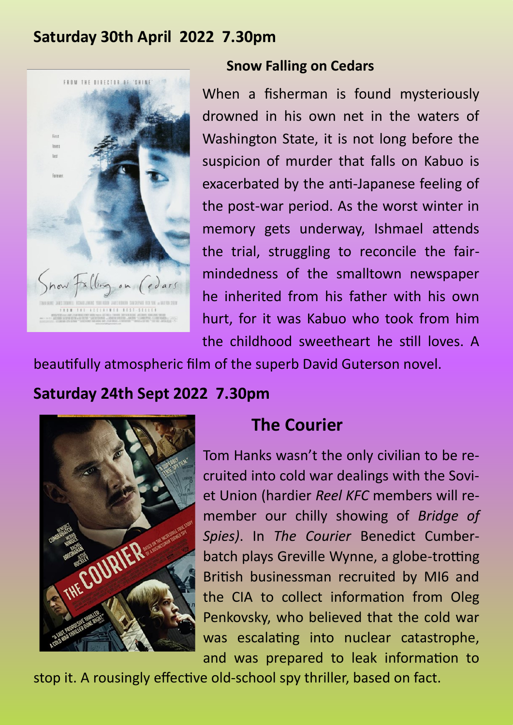#### **Saturday 30th April 2022 7.30pm**



#### **Snow Falling on Cedars**

When a fisherman is found mysteriously drowned in his own net in the waters of Washington State, it is not long before the suspicion of murder that falls on Kabuo is exacerbated by the anti-Japanese feeling of the post-war period. As the worst winter in memory gets underway, Ishmael attends the trial, struggling to reconcile the fairmindedness of the smalltown newspaper he inherited from his father with his own hurt, for it was Kabuo who took from him the childhood sweetheart he still loves. A

beautifully atmospheric film of the superb David Guterson novel.

### **Saturday 24th Sept 2022 7.30pm**



### **The Courier**

Tom Hanks wasn't the only civilian to be recruited into cold war dealings with the Soviet Union (hardier *Reel KFC* members will remember our chilly showing of *Bridge of Spies)*. In *The Courier* Benedict Cumberbatch plays Greville Wynne, a globe-trotting British businessman recruited by MI6 and the CIA to collect information from Oleg Penkovsky, who believed that the cold war was escalating into nuclear catastrophe, and was prepared to leak information to

stop it. A rousingly effective old-school spy thriller, based on fact.